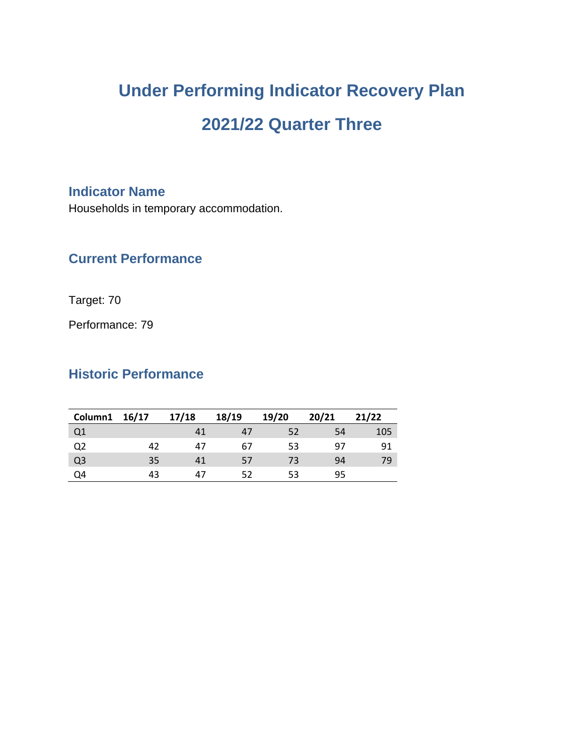# **Under Performing Indicator Recovery Plan 2021/22 Quarter Three**

#### **Indicator Name**

Households in temporary accommodation.

### **Current Performance**

Target: 70

Performance: 79

# **Historic Performance**

| Column1 16/17  |    | 17/18 | 18/19 | 19/20 | 20/21 | 21/22 |
|----------------|----|-------|-------|-------|-------|-------|
| Q1             |    | 41    | 47    | 52    | 54    | 105   |
| Q <sub>2</sub> | 42 | 47    | 67    | 53    | 97    | 91    |
| Q <sub>3</sub> | 35 | 41    | 57    | 73    | 94    | 79    |
| Q <sub>4</sub> | 43 | 47    | 52    | 53    | 95    |       |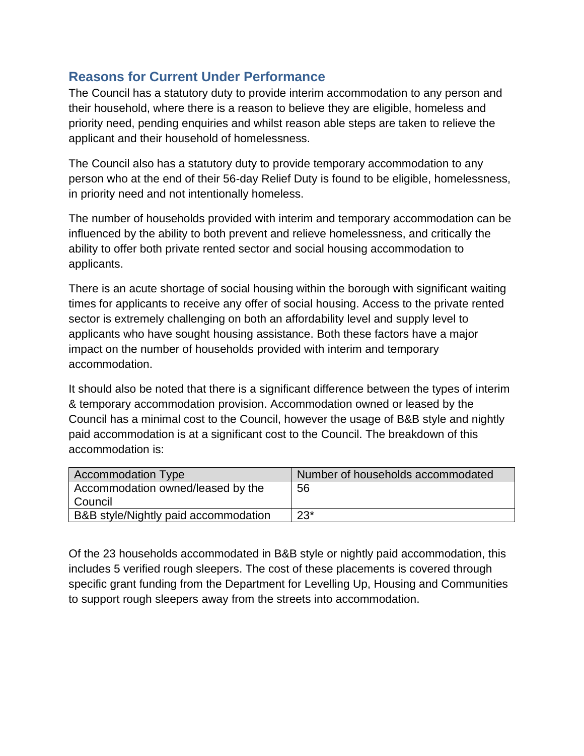## **Reasons for Current Under Performance**

The Council has a statutory duty to provide interim accommodation to any person and their household, where there is a reason to believe they are eligible, homeless and priority need, pending enquiries and whilst reason able steps are taken to relieve the applicant and their household of homelessness.

The Council also has a statutory duty to provide temporary accommodation to any person who at the end of their 56-day Relief Duty is found to be eligible, homelessness, in priority need and not intentionally homeless.

The number of households provided with interim and temporary accommodation can be influenced by the ability to both prevent and relieve homelessness, and critically the ability to offer both private rented sector and social housing accommodation to applicants.

There is an acute shortage of social housing within the borough with significant waiting times for applicants to receive any offer of social housing. Access to the private rented sector is extremely challenging on both an affordability level and supply level to applicants who have sought housing assistance. Both these factors have a major impact on the number of households provided with interim and temporary accommodation.

It should also be noted that there is a significant difference between the types of interim & temporary accommodation provision. Accommodation owned or leased by the Council has a minimal cost to the Council, however the usage of B&B style and nightly paid accommodation is at a significant cost to the Council. The breakdown of this accommodation is:

| <b>Accommodation Type</b>            | Number of households accommodated |
|--------------------------------------|-----------------------------------|
| Accommodation owned/leased by the    | 56                                |
| l Council                            |                                   |
| B&B style/Nightly paid accommodation | $23*$                             |

Of the 23 households accommodated in B&B style or nightly paid accommodation, this includes 5 verified rough sleepers. The cost of these placements is covered through specific grant funding from the Department for Levelling Up, Housing and Communities to support rough sleepers away from the streets into accommodation.